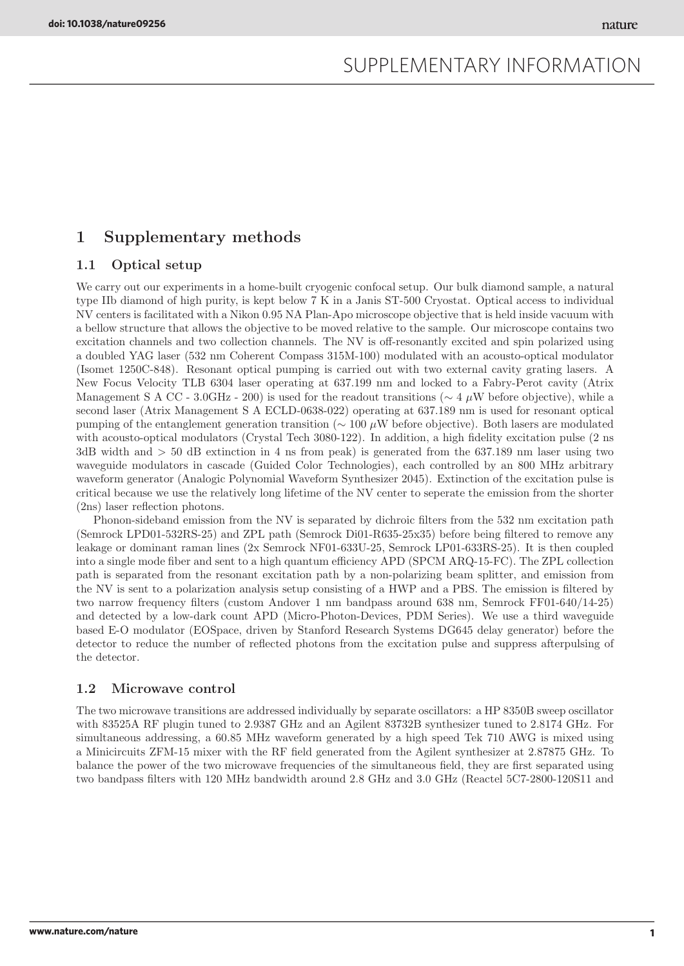# 1 Supplementary methods

## 1.1 Optical setup

We carry out our experiments in a home-built cryogenic confocal setup. Our bulk diamond sample, a natural type IIb diamond of high purity, is kept below 7 K in a Janis ST-500 Cryostat. Optical access to individual NV centers is facilitated with a Nikon 0.95 NA Plan-Apo microscope objective that is held inside vacuum with a bellow structure that allows the objective to be moved relative to the sample. Our microscope contains two excitation channels and two collection channels. The NV is off-resonantly excited and spin polarized using a doubled YAG laser (532 nm Coherent Compass 315M-100) modulated with an acousto-optical modulator (Isomet 1250C-848). Resonant optical pumping is carried out with two external cavity grating lasers. A New Focus Velocity TLB 6304 laser operating at 637.199 nm and locked to a Fabry-Perot cavity (Atrix Management S A CC - 3.0GHz - 200) is used for the readout transitions ( $\sim 4 \mu$ W before objective), while a second laser (Atrix Management S A ECLD-0638-022) operating at 637.189 nm is used for resonant optical pumping of the entanglement generation transition (∼ 100 µW before objective). Both lasers are modulated with acousto-optical modulators (Crystal Tech 3080-122). In addition, a high fidelity excitation pulse (2 ns 3dB width and > 50 dB extinction in 4 ns from peak) is generated from the 637.189 nm laser using two waveguide modulators in cascade (Guided Color Technologies), each controlled by an 800 MHz arbitrary waveform generator (Analogic Polynomial Waveform Synthesizer 2045). Extinction of the excitation pulse is critical because we use the relatively long lifetime of the NV center to seperate the emission from the shorter (2ns) laser reflection photons.

Phonon-sideband emission from the NV is separated by dichroic filters from the 532 nm excitation path (Semrock LPD01-532RS-25) and ZPL path (Semrock Di01-R635-25x35) before being filtered to remove any leakage or dominant raman lines (2x Semrock NF01-633U-25, Semrock LP01-633RS-25). It is then coupled into a single mode fiber and sent to a high quantum efficiency APD (SPCM ARQ-15-FC). The ZPL collection path is separated from the resonant excitation path by a non-polarizing beam splitter, and emission from the NV is sent to a polarization analysis setup consisting of a HWP and a PBS. The emission is filtered by two narrow frequency filters (custom Andover 1 nm bandpass around 638 nm, Semrock FF01-640/14-25) and detected by a low-dark count APD (Micro-Photon-Devices, PDM Series). We use a third waveguide based E-O modulator (EOSpace, driven by Stanford Research Systems DG645 delay generator) before the detector to reduce the number of reflected photons from the excitation pulse and suppress afterpulsing of the detector.

### 1.2 Microwave control

The two microwave transitions are addressed individually by separate oscillators: a HP 8350B sweep oscillator with 83525A RF plugin tuned to 2.9387 GHz and an Agilent 83732B synthesizer tuned to 2.8174 GHz. For simultaneous addressing, a 60.85 MHz waveform generated by a high speed Tek 710 AWG is mixed using a Minicircuits ZFM-15 mixer with the RF field generated from the Agilent synthesizer at 2.87875 GHz. To balance the power of the two microwave frequencies of the simultaneous field, they are first separated using two bandpass filters with 120 MHz bandwidth around 2.8 GHz and 3.0 GHz (Reactel 5C7-2800-120S11 and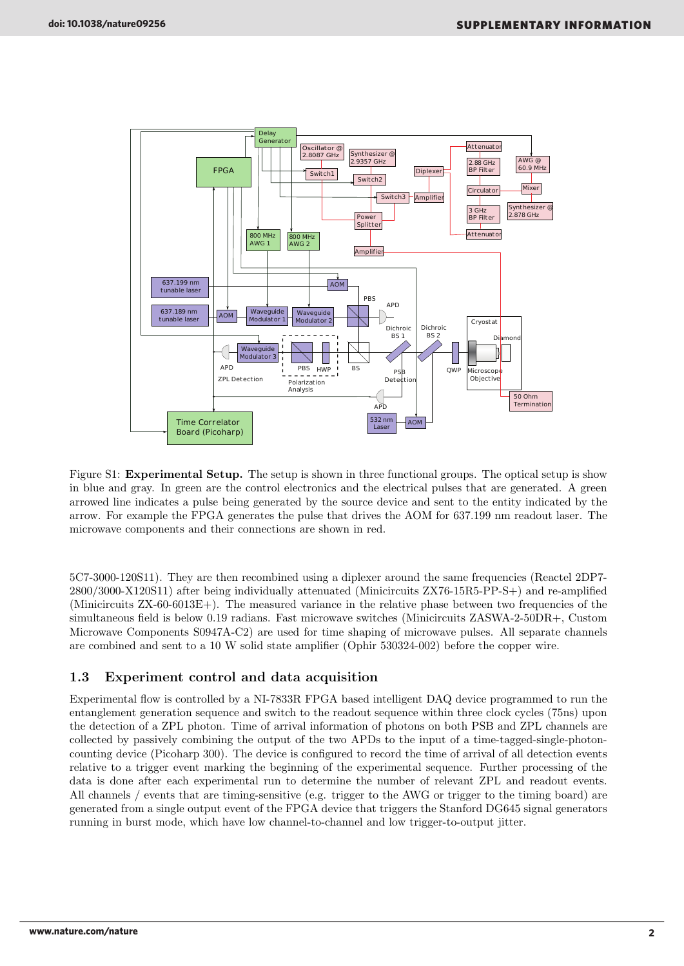

Figure S1: Experimental Setup. The setup is shown in three functional groups. The optical setup is show in blue and gray. In green are the control electronics and the electrical pulses that are generated. A green arrowed line indicates a pulse being generated by the source device and sent to the entity indicated by the arrow. For example the FPGA generates the pulse that drives the AOM for 637.199 nm readout laser. The microwave components and their connections are shown in red.

5C7-3000-120S11). They are then recombined using a diplexer around the same frequencies (Reactel 2DP7- 2800/3000-X120S11) after being individually attenuated (Minicircuits ZX76-15R5-PP-S+) and re-amplified (Minicircuits ZX-60-6013E+). The measured variance in the relative phase between two frequencies of the simultaneous field is below 0.19 radians. Fast microwave switches (Minicircuits ZASWA-2-50DR+, Custom Microwave Components S0947A-C2) are used for time shaping of microwave pulses. All separate channels are combined and sent to a 10 W solid state amplifier (Ophir 530324-002) before the copper wire.

## 1.3 Experiment control and data acquisition

Experimental flow is controlled by a NI-7833R FPGA based intelligent DAQ device programmed to run the entanglement generation sequence and switch to the readout sequence within three clock cycles (75ns) upon the detection of a ZPL photon. Time of arrival information of photons on both PSB and ZPL channels are collected by passively combining the output of the two APDs to the input of a time-tagged-single-photoncounting device (Picoharp 300). The device is configured to record the time of arrival of all detection events relative to a trigger event marking the beginning of the experimental sequence. Further processing of the data is done after each experimental run to determine the number of relevant ZPL and readout events. All channels / events that are timing-sensitive (e.g. trigger to the AWG or trigger to the timing board) are generated from a single output event of the FPGA device that triggers the Stanford DG645 signal generators running in burst mode, which have low channel-to-channel and low trigger-to-output jitter.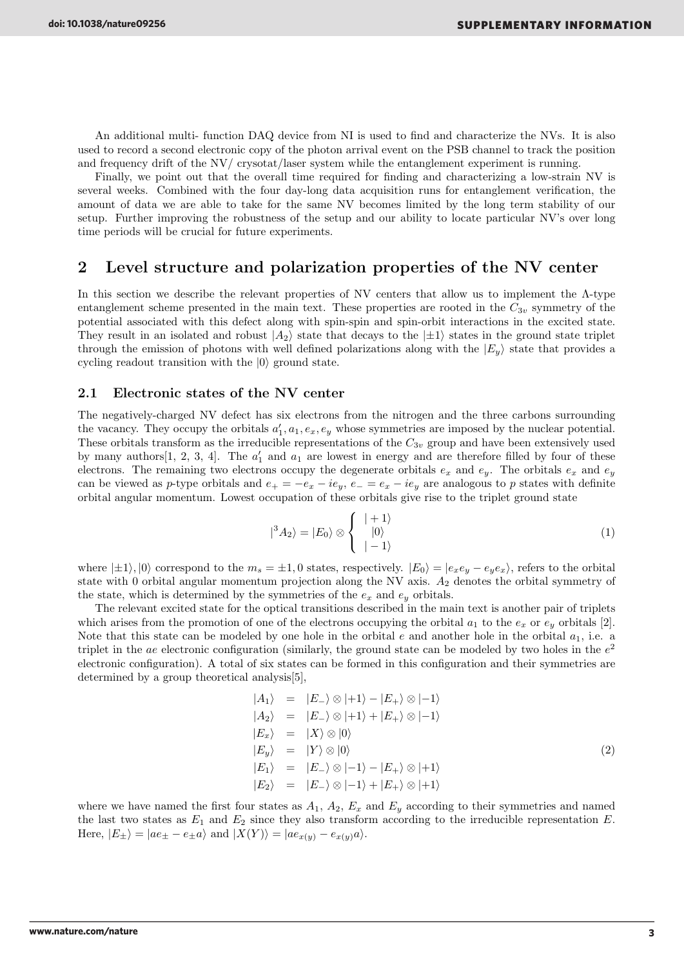An additional multi- function DAQ device from NI is used to find and characterize the NVs. It is also used to record a second electronic copy of the photon arrival event on the PSB channel to track the position and frequency drift of the NV/ crysotat/laser system while the entanglement experiment is running.

Finally, we point out that the overall time required for finding and characterizing a low-strain NV is several weeks. Combined with the four day-long data acquisition runs for entanglement verification, the amount of data we are able to take for the same NV becomes limited by the long term stability of our setup. Further improving the robustness of the setup and our ability to locate particular NV's over long time periods will be crucial for future experiments.

# 2 Level structure and polarization properties of the NV center

In this section we describe the relevant properties of NV centers that allow us to implement the  $\Lambda$ -type entanglement scheme presented in the main text. These properties are rooted in the  $C_{3v}$  symmetry of the potential associated with this defect along with spin-spin and spin-orbit interactions in the excited state. They result in an isolated and robust  $|A_2\rangle$  state that decays to the  $|\pm 1\rangle$  states in the ground state triplet through the emission of photons with well defined polarizations along with the  $|E_u\rangle$  state that provides a cycling readout transition with the  $|0\rangle$  ground state.

### 2.1 Electronic states of the NV center

The negatively-charged NV defect has six electrons from the nitrogen and the three carbons surrounding the vacancy. They occupy the orbitals  $a'_1, a_1, e_x, e_y$  whose symmetries are imposed by the nuclear potential. These orbitals transform as the irreducible representations of the  $C_{3v}$  group and have been extensively used by many authors [1, 2, 3, 4]. The  $a'_1$  and  $a_1$  are lowest in energy and are therefore filled by four of these electrons. The remaining two electrons occupy the degenerate orbitals  $e_x$  and  $e_y$ . The orbitals  $e_x$  and  $e_y$ can be viewed as p-type orbitals and  $e_+ = -e_x - ie_y$ ,  $e_- = e_x - ie_y$  are analogous to p states with definite orbital angular momentum. Lowest occupation of these orbitals give rise to the triplet ground state

$$
|{}^3A_2\rangle = |E_0\rangle \otimes \left\{ \begin{array}{l} |+1\rangle \\ |0\rangle \\ |-1\rangle \end{array} \right. \tag{1}
$$

where  $|\pm 1\rangle$ ,  $|0\rangle$  correspond to the  $m_s = \pm 1, 0$  states, respectively.  $|E_0\rangle = |e_x e_y - e_y e_x\rangle$ , refers to the orbital state with 0 orbital angular momentum projection along the NV axis.  $A_2$  denotes the orbital symmetry of the state, which is determined by the symmetries of the  $e_x$  and  $e_y$  orbitals.

The relevant excited state for the optical transitions described in the main text is another pair of triplets which arises from the promotion of one of the electrons occupying the orbital  $a_1$  to the  $e_x$  or  $e_y$  orbitals [2]. Note that this state can be modeled by one hole in the orbital e and another hole in the orbital  $a_1$ , i.e. a triplet in the ae electronic configuration (similarly, the ground state can be modeled by two holes in the  $e^2$ electronic configuration). A total of six states can be formed in this configuration and their symmetries are determined by a group theoretical analysis[5],

$$
|A_1\rangle = |E_-\rangle \otimes |+1\rangle - |E_+\rangle \otimes |-1\rangle
$$
  
\n
$$
|A_2\rangle = |E_-\rangle \otimes |+1\rangle + |E_+\rangle \otimes |-1\rangle
$$
  
\n
$$
|E_x\rangle = |X\rangle \otimes |0\rangle
$$
  
\n
$$
|E_y\rangle = |Y\rangle \otimes |0\rangle
$$
  
\n
$$
|E_1\rangle = |E_-\rangle \otimes |-1\rangle - |E_+\rangle \otimes |+1\rangle
$$
  
\n
$$
|E_2\rangle = |E_-\rangle \otimes |-1\rangle + |E_+\rangle \otimes |+1\rangle
$$
  
\n(2)

where we have named the first four states as  $A_1$ ,  $A_2$ ,  $E_x$  and  $E_y$  according to their symmetries and named the last two states as  $E_1$  and  $E_2$  since they also transform according to the irreducible representation  $E$ . Here,  $|E_{\pm}\rangle = |ae_{\pm} - e_{\pm}a\rangle$  and  $|X(Y)\rangle = |ae_{x(y)} - e_{x(y)}a\rangle$ .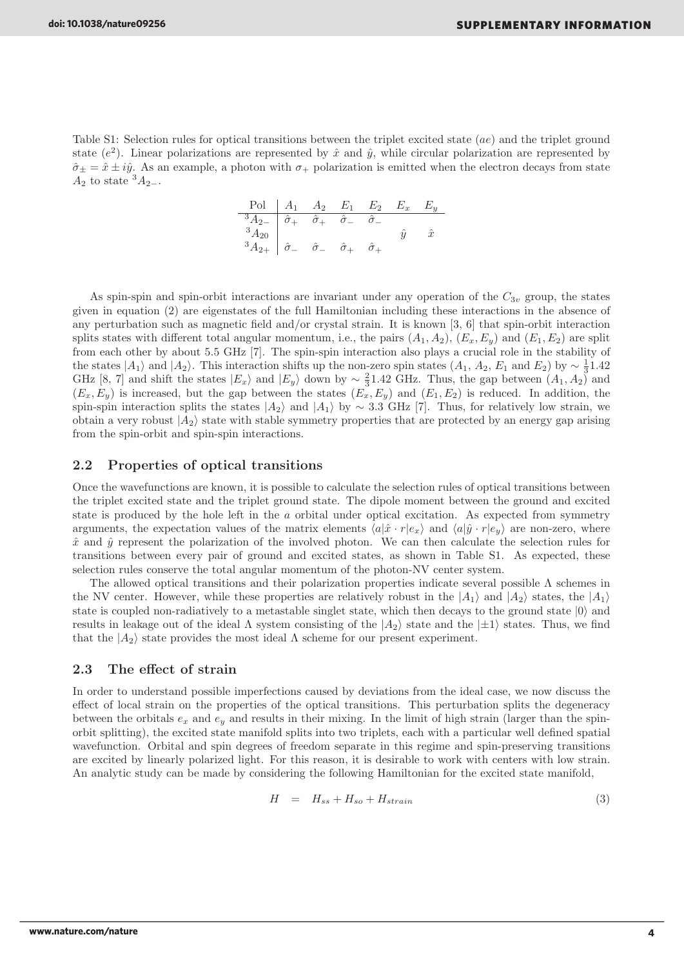Table S1: Selection rules for optical transitions between the triplet excited state (ae) and the triplet ground state  $(e^2)$ . Linear polarizations are represented by  $\hat{x}$  and  $\hat{y}$ , while circular polarization are represented by  $\hat{\sigma}_{\pm} = \hat{x} \pm i\hat{y}$ . As an example, a photon with  $\sigma_{+}$  polarization is emitted when the electron decays from state  $A_2$  to state  ${}^3A_{2-}$ .

$$
\begin{array}{c|cccc}\n\text{Pol} & A_1 & A_2 & E_1 & E_2 & E_x & E_y \\
\hline\n\frac{3A_2}{3A_{20}} & \hat{\sigma}_+ & \hat{\sigma}_+ & \hat{\sigma}_- & \hat{\sigma}_- \\
\frac{3A_2}{3A_{2+}} & \hat{\sigma}_- & \hat{\sigma}_+ & \hat{\sigma}_+ & \hat{\sigma}_+\n\end{array}
$$

As spin-spin and spin-orbit interactions are invariant under any operation of the  $C_{3v}$  group, the states given in equation (2) are eigenstates of the full Hamiltonian including these interactions in the absence of any perturbation such as magnetic field and/or crystal strain. It is known [3, 6] that spin-orbit interaction splits states with different total angular momentum, i.e., the pairs  $(A_1, A_2)$ ,  $(E_x, E_y)$  and  $(E_1, E_2)$  are split from each other by about 5.5 GHz [7]. The spin-spin interaction also plays a crucial role in the stability of the states  $|A_1\rangle$  and  $|A_2\rangle$ . This interaction shifts up the non-zero spin states  $(A_1, A_2, E_1 \text{ and } E_2)$  by  $\sim \frac{1}{3}1.42$ GHz [8, 7] and shift the states  $|E_x\rangle$  and  $|E_y\rangle$  down by  $\sim \frac{2}{3}1.42$  GHz. Thus, the gap between  $(A_1, A_2)$  and  $(E_x, E_y)$  is increased, but the gap between the states  $(E_x, E_y)$  and  $(E_1, E_2)$  is reduced. In addition, the spin-spin interaction splits the states  $|A_2\rangle$  and  $|A_1\rangle$  by ~ 3.3 GHz [7]. Thus, for relatively low strain, we obtain a very robust  $|A_2\rangle$  state with stable symmetry properties that are protected by an energy gap arising from the spin-orbit and spin-spin interactions.

### 2.2 Properties of optical transitions

Once the wavefunctions are known, it is possible to calculate the selection rules of optical transitions between the triplet excited state and the triplet ground state. The dipole moment between the ground and excited state is produced by the hole left in the a orbital under optical excitation. As expected from symmetry arguments, the expectation values of the matrix elements  $\langle a|\hat{x} \cdot r|e_x \rangle$  and  $\langle a|\hat{y} \cdot r|e_y \rangle$  are non-zero, where  $\hat{x}$  and  $\hat{y}$  represent the polarization of the involved photon. We can then calculate the selection rules for transitions between every pair of ground and excited states, as shown in Table S1. As expected, these selection rules conserve the total angular momentum of the photon-NV center system.

The allowed optical transitions and their polarization properties indicate several possible  $\Lambda$  schemes in the NV center. However, while these properties are relatively robust in the  $|A_1\rangle$  and  $|A_2\rangle$  states, the  $|A_1\rangle$ state is coupled non-radiatively to a metastable singlet state, which then decays to the ground state  $|0\rangle$  and results in leakage out of the ideal  $\Lambda$  system consisting of the  $|A_2\rangle$  state and the  $|\pm 1\rangle$  states. Thus, we find that the  $|A_2\rangle$  state provides the most ideal  $\Lambda$  scheme for our present experiment.

### 2.3 The effect of strain

In order to understand possible imperfections caused by deviations from the ideal case, we now discuss the effect of local strain on the properties of the optical transitions. This perturbation splits the degeneracy between the orbitals  $e_x$  and  $e_y$  and results in their mixing. In the limit of high strain (larger than the spinorbit splitting), the excited state manifold splits into two triplets, each with a particular well defined spatial wavefunction. Orbital and spin degrees of freedom separate in this regime and spin-preserving transitions are excited by linearly polarized light. For this reason, it is desirable to work with centers with low strain. An analytic study can be made by considering the following Hamiltonian for the excited state manifold,

$$
H = H_{ss} + H_{so} + H_{strain} \tag{3}
$$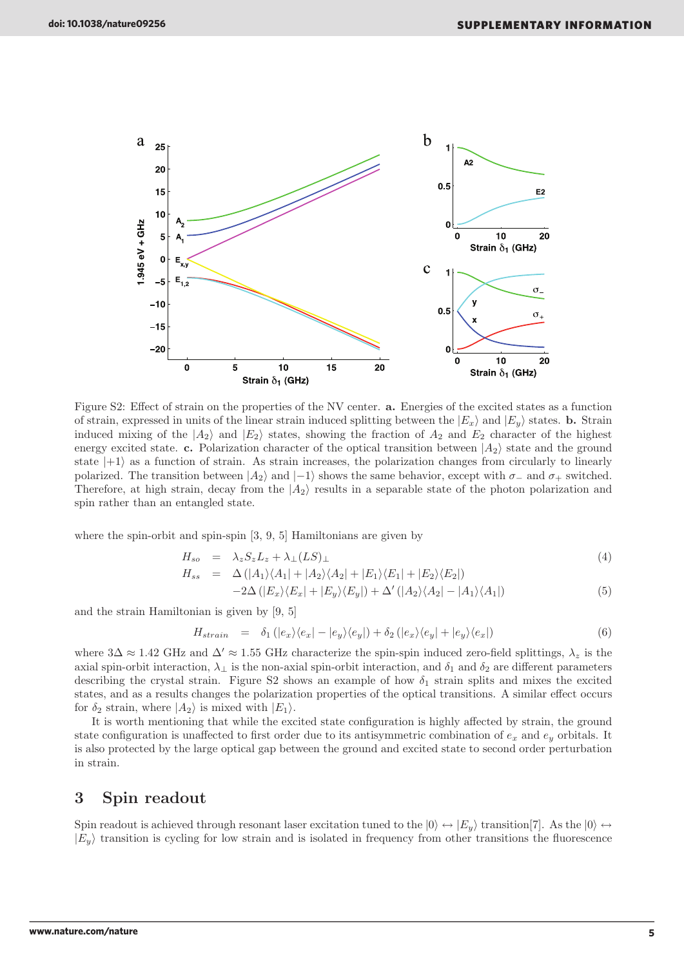

Figure S2: Effect of strain on the properties of the NV center. **a.** Energies of the excited states as a function of strain, expressed in units of the linear strain induced splitting between the  $|E_x\rangle$  and  $|E_u\rangle$  states. **b.** Strain induced mixing of the  $|A_2\rangle$  and  $|E_2\rangle$  states, showing the fraction of  $A_2$  and  $E_2$  character of the highest energy excited state. c. Polarization character of the optical transition between  $|A_2\rangle$  state and the ground state  $|+1\rangle$  as a function of strain. As strain increases, the polarization changes from circularly to linearly polarized. The transition between  $|A_2\rangle$  and  $|-1\rangle$  shows the same behavior, except with  $\sigma_-$  and  $\sigma_+$  switched. Therefore, at high strain, decay from the  $|A_2\rangle$  results in a separable state of the photon polarization and spin rather than an entangled state.

where the spin-orbit and spin-spin [3, 9, 5] Hamiltonians are given by

$$
H_{so} = \lambda_z S_z L_z + \lambda_{\perp} (LS)_{\perp} \tag{4}
$$

$$
H_{ss} = \Delta (|A_1\rangle\langle A_1| + |A_2\rangle\langle A_2| + |E_1\rangle\langle E_1| + |E_2\rangle\langle E_2|)
$$
  
-2\Delta (|E\_x\rangle\langle E\_x| + |E\_y\rangle\langle E\_y|) + \Delta' (|A\_2\rangle\langle A\_2| - |A\_1\rangle\langle A\_1|) (5)

and the strain Hamiltonian is given by [9, 5]

$$
H_{strain} = \delta_1 (|e_x\rangle\langle e_x| - |e_y\rangle\langle e_y|) + \delta_2 (|e_x\rangle\langle e_y| + |e_y\rangle\langle e_x|)
$$
\n(6)

where  $3\Delta \approx 1.42$  GHz and  $\Delta' \approx 1.55$  GHz characterize the spin-spin induced zero-field splittings,  $\lambda_z$  is the axial spin-orbit interaction,  $\lambda_{\perp}$  is the non-axial spin-orbit interaction, and  $\delta_1$  and  $\delta_2$  are different parameters describing the crystal strain. Figure S2 shows an example of how  $\delta_1$  strain splits and mixes the excited states, and as a results changes the polarization properties of the optical transitions. A similar effect occurs for  $\delta_2$  strain, where  $|A_2\rangle$  is mixed with  $|E_1\rangle$ .

It is worth mentioning that while the excited state configuration is highly affected by strain, the ground state configuration is unaffected to first order due to its antisymmetric combination of  $e_x$  and  $e_y$  orbitals. It is also protected by the large optical gap between the ground and excited state to second order perturbation in strain.

# 3 Spin readout

Spin readout is achieved through resonant laser excitation tuned to the  $|0\rangle \leftrightarrow |E_y\rangle$  transition[7]. As the  $|0\rangle \leftrightarrow$  $|E_u\rangle$  transition is cycling for low strain and is isolated in frequency from other transitions the fluorescence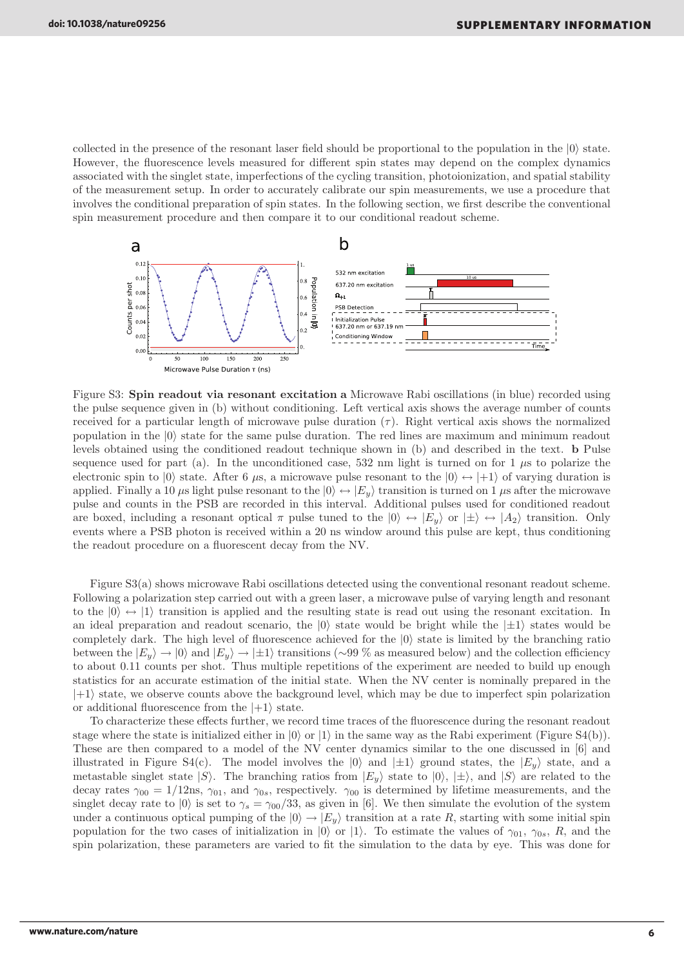collected in the presence of the resonant laser field should be proportional to the population in the  $|0\rangle$  state. However, the fluorescence levels measured for different spin states may depend on the complex dynamics associated with the singlet state, imperfections of the cycling transition, photoionization, and spatial stability of the measurement setup. In order to accurately calibrate our spin measurements, we use a procedure that involves the conditional preparation of spin states. In the following section, we first describe the conventional spin measurement procedure and then compare it to our conditional readout scheme.



Figure S3: Spin readout via resonant excitation a Microwave Rabi oscillations (in blue) recorded using the pulse sequence given in (b) without conditioning. Left vertical axis shows the average number of counts received for a particular length of microwave pulse duration  $(\tau)$ . Right vertical axis shows the normalized population in the  $|0\rangle$  state for the same pulse duration. The red lines are maximum and minimum readout levels obtained using the conditioned readout technique shown in (b) and described in the text. b Pulse sequence used for part (a). In the unconditioned case, 532 nm light is turned on for 1  $\mu$ s to polarize the electronic spin to  $|0\rangle$  state. After 6  $\mu$ s, a microwave pulse resonant to the  $|0\rangle \leftrightarrow |+1\rangle$  of varying duration is applied. Finally a 10  $\mu$ s light pulse resonant to the  $|0\rangle \leftrightarrow |E_y\rangle$  transition is turned on 1  $\mu$ s after the microwave pulse and counts in the PSB are recorded in this interval. Additional pulses used for conditioned readout are boxed, including a resonant optical  $\pi$  pulse tuned to the  $|0\rangle \leftrightarrow |E_y\rangle$  or  $|\pm\rangle \leftrightarrow |A_2\rangle$  transition. Only events where a PSB photon is received within a 20 ns window around this pulse are kept, thus conditioning the readout procedure on a fluorescent decay from the NV.

Figure S3(a) shows microwave Rabi oscillations detected using the conventional resonant readout scheme. Following a polarization step carried out with a green laser, a microwave pulse of varying length and resonant to the  $|0\rangle \leftrightarrow |1\rangle$  transition is applied and the resulting state is read out using the resonant excitation. In an ideal preparation and readout scenario, the  $|0\rangle$  state would be bright while the  $|\pm 1\rangle$  states would be completely dark. The high level of fluorescence achieved for the  $|0\rangle$  state is limited by the branching ratio between the  $|E_y\rangle \rightarrow |0\rangle$  and  $|E_y\rangle \rightarrow |\pm 1\rangle$  transitions (∼99 % as measured below) and the collection efficiency to about 0.11 counts per shot. Thus multiple repetitions of the experiment are needed to build up enough statistics for an accurate estimation of the initial state. When the NV center is nominally prepared in the  $|+1\rangle$  state, we observe counts above the background level, which may be due to imperfect spin polarization or additional fluorescence from the  $|+1\rangle$  state.

To characterize these effects further, we record time traces of the fluorescence during the resonant readout stage where the state is initialized either in  $|0\rangle$  or  $|1\rangle$  in the same way as the Rabi experiment (Figure S4(b)). These are then compared to a model of the NV center dynamics similar to the one discussed in [6] and illustrated in Figure S4(c). The model involves the  $|0\rangle$  and  $|\pm 1\rangle$  ground states, the  $|E_u\rangle$  state, and a metastable singlet state  $|S\rangle$ . The branching ratios from  $|E_y\rangle$  state to  $|0\rangle$ ,  $|\pm\rangle$ , and  $|S\rangle$  are related to the decay rates  $\gamma_{00} = 1/12$ ns,  $\gamma_{01}$ , and  $\gamma_{0s}$ , respectively.  $\gamma_{00}$  is determined by lifetime measurements, and the singlet decay rate to  $|0\rangle$  is set to  $\gamma_s = \gamma_{00}/33$ , as given in [6]. We then simulate the evolution of the system under a continuous optical pumping of the  $|0\rangle \rightarrow |E_y\rangle$  transition at a rate R, starting with some initial spin population for the two cases of initialization in  $|0\rangle$  or  $|1\rangle$ . To estimate the values of  $\gamma_{01}$ ,  $\gamma_{0s}$ , R, and the spin polarization, these parameters are varied to fit the simulation to the data by eye. This was done for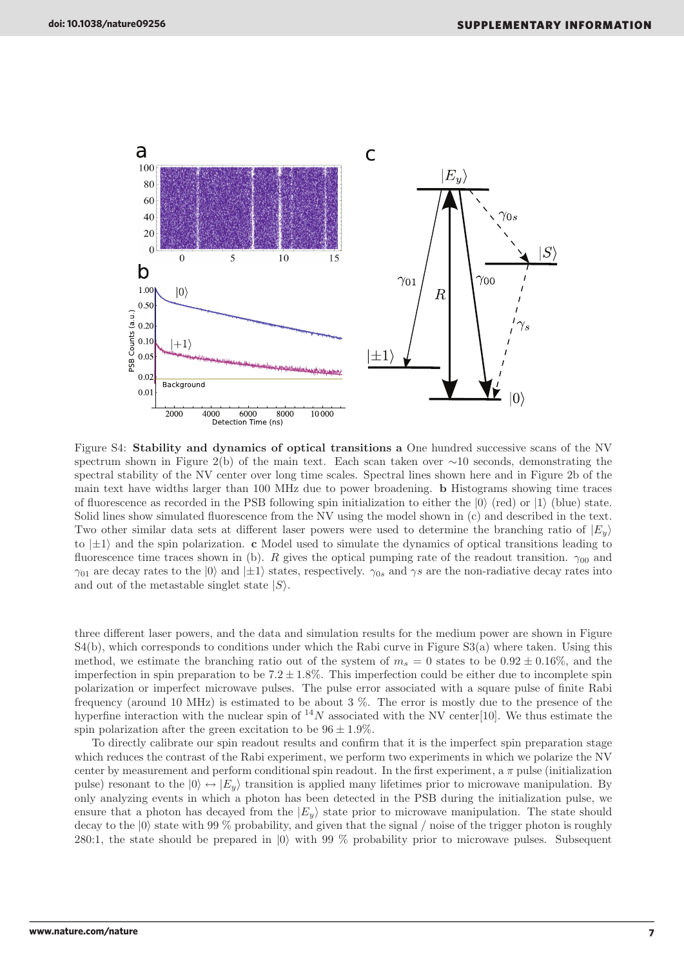

Figure S4: Stability and dynamics of optical transitions a One hundred successive scans of the NV spectrum shown in Figure 2(b) of the main text. Each scan taken over ∼10 seconds, demonstrating the spectral stability of the NV center over long time scales. Spectral lines shown here and in Figure 2b of the main text have widths larger than 100 MHz due to power broadening. b Histograms showing time traces of fluorescence as recorded in the PSB following spin initialization to either the  $|0\rangle$  (red) or  $|1\rangle$  (blue) state. Solid lines show simulated fluorescence from the NV using the model shown in (c) and described in the text. Two other similar data sets at different laser powers were used to determine the branching ratio of  $|E_y\rangle$ to  $|\pm 1\rangle$  and the spin polarization. c Model used to simulate the dynamics of optical transitions leading to fluorescence time traces shown in (b). R gives the optical pumping rate of the readout transition.  $\gamma_{00}$  and  $\gamma_{01}$  are decay rates to the  $|0\rangle$  and  $|\pm 1\rangle$  states, respectively.  $\gamma_{0s}$  and  $\gamma s$  are the non-radiative decay rates into and out of the metastable singlet state  $|S\rangle$ .

three different laser powers, and the data and simulation results for the medium power are shown in Figure S4(b), which corresponds to conditions under which the Rabi curve in Figure S3(a) where taken. Using this method, we estimate the branching ratio out of the system of  $m_s = 0$  states to be  $0.92 \pm 0.16\%$ , and the imperfection in spin preparation to be  $7.2 \pm 1.8\%$ . This imperfection could be either due to incomplete spin polarization or imperfect microwave pulses. The pulse error associated with a square pulse of finite Rabi frequency (around 10 MHz) is estimated to be about 3 %. The error is mostly due to the presence of the hyperfine interaction with the nuclear spin of  $^{14}N$  associated with the NV center[10]. We thus estimate the spin polarization after the green excitation to be  $96 \pm 1.9\%$ .

To directly calibrate our spin readout results and confirm that it is the imperfect spin preparation stage which reduces the contrast of the Rabi experiment, we perform two experiments in which we polarize the NV center by measurement and perform conditional spin readout. In the first experiment, a  $\pi$  pulse (initialization pulse) resonant to the  $|0\rangle \leftrightarrow |E_y\rangle$  transition is applied many lifetimes prior to microwave manipulation. By only analyzing events in which a photon has been detected in the PSB during the initialization pulse, we ensure that a photon has decayed from the  $|E_y\rangle$  state prior to microwave manipulation. The state should decay to the  $|0\rangle$  state with 99 % probability, and given that the signal / noise of the trigger photon is roughly 280:1, the state should be prepared in  $|0\rangle$  with 99 % probability prior to microwave pulses. Subsequent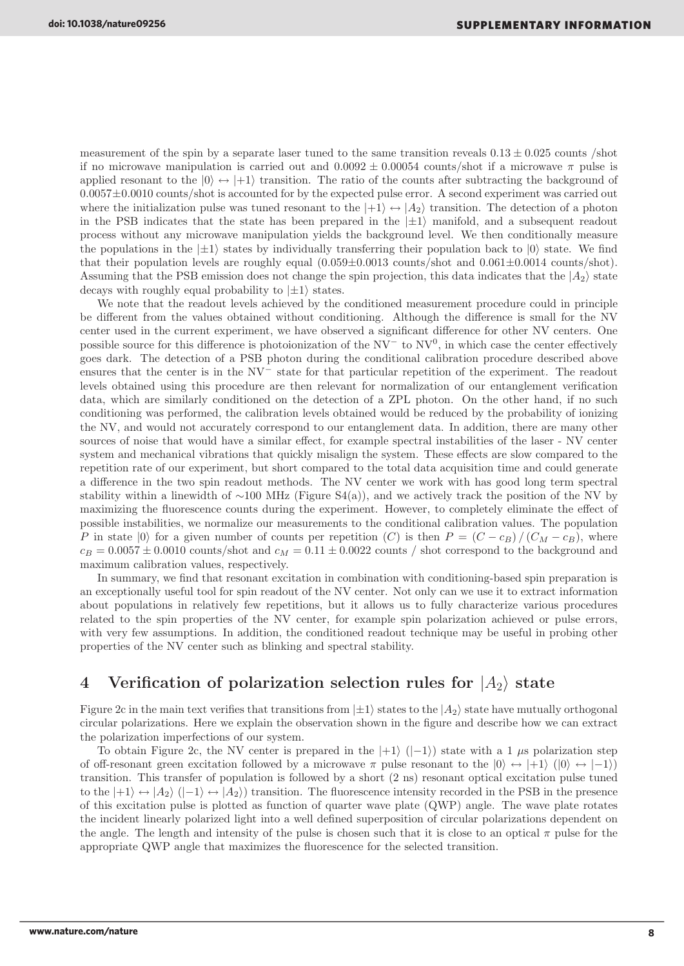measurement of the spin by a separate laser tuned to the same transition reveals  $0.13 \pm 0.025$  counts /shot if no microwave manipulation is carried out and  $0.0092 \pm 0.00054$  counts/shot if a microwave  $\pi$  pulse is applied resonant to the  $|0\rangle \leftrightarrow |+1\rangle$  transition. The ratio of the counts after subtracting the background of  $0.0057\pm0.0010$  counts/shot is accounted for by the expected pulse error. A second experiment was carried out where the initialization pulse was tuned resonant to the  $|+1\rangle \leftrightarrow |A_2\rangle$  transition. The detection of a photon in the PSB indicates that the state has been prepared in the  $|\pm 1\rangle$  manifold, and a subsequent readout process without any microwave manipulation yields the background level. We then conditionally measure the populations in the  $|\pm 1\rangle$  states by individually transferring their population back to  $|0\rangle$  state. We find that their population levels are roughly equal (0.059±0.0013 counts/shot and 0.061±0.0014 counts/shot). Assuming that the PSB emission does not change the spin projection, this data indicates that the  $|A_2\rangle$  state decays with roughly equal probability to  $|\pm 1\rangle$  states.

We note that the readout levels achieved by the conditioned measurement procedure could in principle be different from the values obtained without conditioning. Although the difference is small for the NV center used in the current experiment, we have observed a significant difference for other NV centers. One possible source for this difference is photoionization of the  $NV^-$  to  $NV^0$ , in which case the center effectively goes dark. The detection of a PSB photon during the conditional calibration procedure described above ensures that the center is in the NV<sup>−</sup> state for that particular repetition of the experiment. The readout levels obtained using this procedure are then relevant for normalization of our entanglement verification data, which are similarly conditioned on the detection of a ZPL photon. On the other hand, if no such conditioning was performed, the calibration levels obtained would be reduced by the probability of ionizing the NV, and would not accurately correspond to our entanglement data. In addition, there are many other sources of noise that would have a similar effect, for example spectral instabilities of the laser - NV center system and mechanical vibrations that quickly misalign the system. These effects are slow compared to the repetition rate of our experiment, but short compared to the total data acquisition time and could generate a difference in the two spin readout methods. The NV center we work with has good long term spectral stability within a linewidth of ~100 MHz (Figure S4(a)), and we actively track the position of the NV by maximizing the fluorescence counts during the experiment. However, to completely eliminate the effect of possible instabilities, we normalize our measurements to the conditional calibration values. The population P in state  $|0\rangle$  for a given number of counts per repetition  $(C)$  is then  $P = (C - c_B)/(C_M - c_B)$ , where  $c_B = 0.0057 \pm 0.0010$  counts/shot and  $c_M = 0.11 \pm 0.0022$  counts / shot correspond to the background and maximum calibration values, respectively.

In summary, we find that resonant excitation in combination with conditioning-based spin preparation is an exceptionally useful tool for spin readout of the NV center. Not only can we use it to extract information about populations in relatively few repetitions, but it allows us to fully characterize various procedures related to the spin properties of the NV center, for example spin polarization achieved or pulse errors, with very few assumptions. In addition, the conditioned readout technique may be useful in probing other properties of the NV center such as blinking and spectral stability.

# 4 Verification of polarization selection rules for  $|A_2\rangle$  state

Figure 2c in the main text verifies that transitions from  $|\pm 1\rangle$  states to the  $|A_2\rangle$  state have mutually orthogonal circular polarizations. Here we explain the observation shown in the figure and describe how we can extract the polarization imperfections of our system.

To obtain Figure 2c, the NV center is prepared in the  $|+1\rangle$  ( $|-1\rangle$ ) state with a 1 µs polarization step of off-resonant green excitation followed by a microwave  $\pi$  pulse resonant to the  $|0\rangle \leftrightarrow |+1\rangle$   $(|0\rangle \leftrightarrow |-1\rangle)$ transition. This transfer of population is followed by a short (2 ns) resonant optical excitation pulse tuned to the  $|+1\rangle \leftrightarrow |A_2\rangle$  ( $|-1\rangle \leftrightarrow |A_2\rangle$ ) transition. The fluorescence intensity recorded in the PSB in the presence of this excitation pulse is plotted as function of quarter wave plate (QWP) angle. The wave plate rotates the incident linearly polarized light into a well defined superposition of circular polarizations dependent on the angle. The length and intensity of the pulse is chosen such that it is close to an optical  $\pi$  pulse for the appropriate QWP angle that maximizes the fluorescence for the selected transition.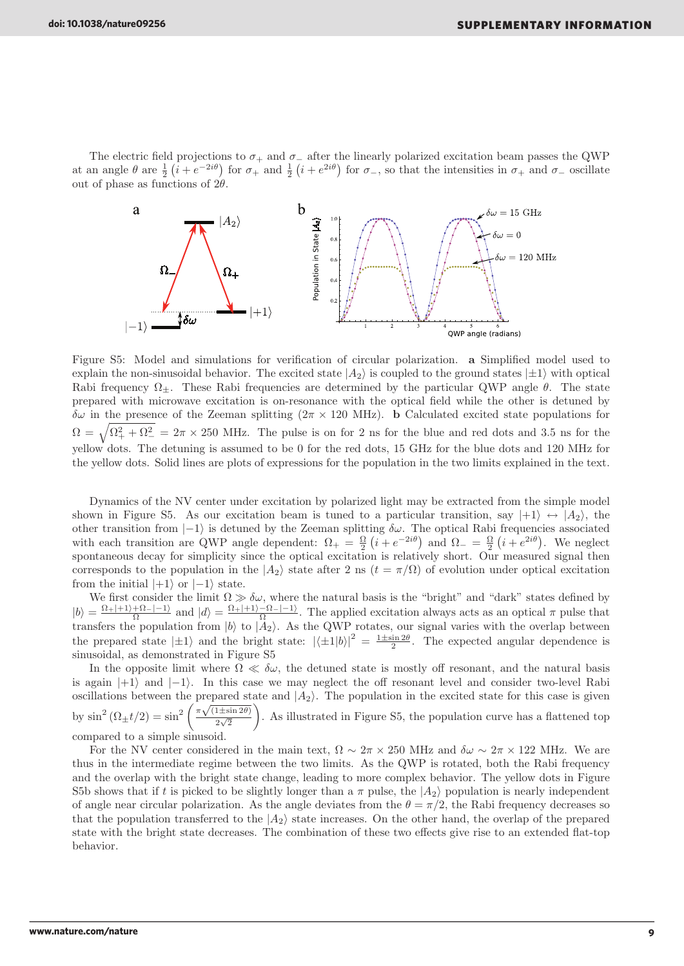The electric field projections to  $\sigma_+$  and  $\sigma_-$  after the linearly polarized excitation beam passes the QWP at an angle  $\theta$  are  $\frac{1}{2}$   $(i + e^{-2i\theta})$  for  $\sigma_+$  and  $\frac{1}{2}$   $(i + e^{2i\theta})$  for  $\sigma_-$ , so that the intensities in  $\sigma_+$  and  $\sigma_-$  oscillate out of phase as functions of  $2\theta$ .



Figure S5: Model and simulations for verification of circular polarization. a Simplified model used to explain the non-sinusoidal behavior. The excited state  $|A_2\rangle$  is coupled to the ground states  $|\pm 1\rangle$  with optical Rabi frequency  $\Omega_{\pm}$ . These Rabi frequencies are determined by the particular QWP angle  $\theta$ . The state prepared with microwave excitation is on-resonance with the optical field while the other is detuned by δω in the presence of the Zeeman splitting (2π × 120 MHz). b Calculated excited state populations for  $\Omega = \sqrt{\Omega_+^2 + \Omega_-^2} = 2\pi \times 250$  MHz. The pulse is on for 2 ns for the blue and red dots and 3.5 ns for the yellow dots. The detuning is assumed to be 0 for the red dots, 15 GHz for the blue dots and 120 MHz for the yellow dots. Solid lines are plots of expressions for the population in the two limits explained in the text.

Dynamics of the NV center under excitation by polarized light may be extracted from the simple model shown in Figure S5. As our excitation beam is tuned to a particular transition, say  $|+1\rangle \leftrightarrow |A_2\rangle$ , the other transition from  $|-1\rangle$  is detuned by the Zeeman splitting  $\delta\omega$ . The optical Rabi frequencies associated with each transition are QWP angle dependent:  $\Omega_{+} = \frac{\Omega}{2} (i + e^{-2i\theta})$  and  $\Omega_{-} = \frac{\Omega}{2} (i + e^{2i\theta})$ . We neglect spontaneous decay for simplicity since the optical excitation is relatively short. Our measured signal then corresponds to the population in the  $|A_2\rangle$  state after 2 ns  $(t = \pi/\Omega)$  of evolution under optical excitation from the initial  $|+1\rangle$  or  $|-1\rangle$  state.

We first consider the limit  $\Omega \gg \delta \omega$ , where the natural basis is the "bright" and "dark" states defined by  $|b\rangle = \frac{\Omega_+|+1\rangle+\Omega_-|-1\rangle}{\Omega}$  and  $|d\rangle = \frac{\Omega_+|+1\rangle-\Omega_-|-1\rangle}{\Omega}$ . The applied excitation always acts as an optical  $\pi$  pulse that transfers the population from  $|b\rangle$  to  $|A_2\rangle$ . As the QWP rotates, our signal varies with the overlap between the prepared state  $|\pm 1\rangle$  and the bright state:  $|\langle \pm 1|b\rangle|^2 = \frac{1 \pm \sin 2\theta}{2}$ . The expected angular dependence is sinusoidal, as demonstrated in Figure S5

In the opposite limit where  $\Omega \ll \delta \omega$ , the detuned state is mostly off resonant, and the natural basis is again  $|+1\rangle$  and  $|-1\rangle$ . In this case we may neglect the off resonant level and consider two-level Rabi oscillations between the prepared state and  $|A_2\rangle$ . The population in the excited state for this case is given by  $\sin^2(\Omega_{\pm}t/2) = \sin^2\left(\frac{\pi\sqrt{(1\pm\sin 2\theta)}}{2\sqrt{2}}\right)$  $\sqrt{2}$  $\setminus$ . As illustrated in Figure S5, the population curve has a flattened top compared to a simple sinusoid.

For the NV center considered in the main text,  $\Omega \sim 2\pi \times 250$  MHz and  $\delta\omega \sim 2\pi \times 122$  MHz. We are thus in the intermediate regime between the two limits. As the QWP is rotated, both the Rabi frequency and the overlap with the bright state change, leading to more complex behavior. The yellow dots in Figure S5b shows that if t is picked to be slightly longer than a  $\pi$  pulse, the  $|A_2\rangle$  population is nearly independent of angle near circular polarization. As the angle deviates from the  $\theta = \pi/2$ , the Rabi frequency decreases so that the population transferred to the  $|A_2\rangle$  state increases. On the other hand, the overlap of the prepared state with the bright state decreases. The combination of these two effects give rise to an extended flat-top behavior.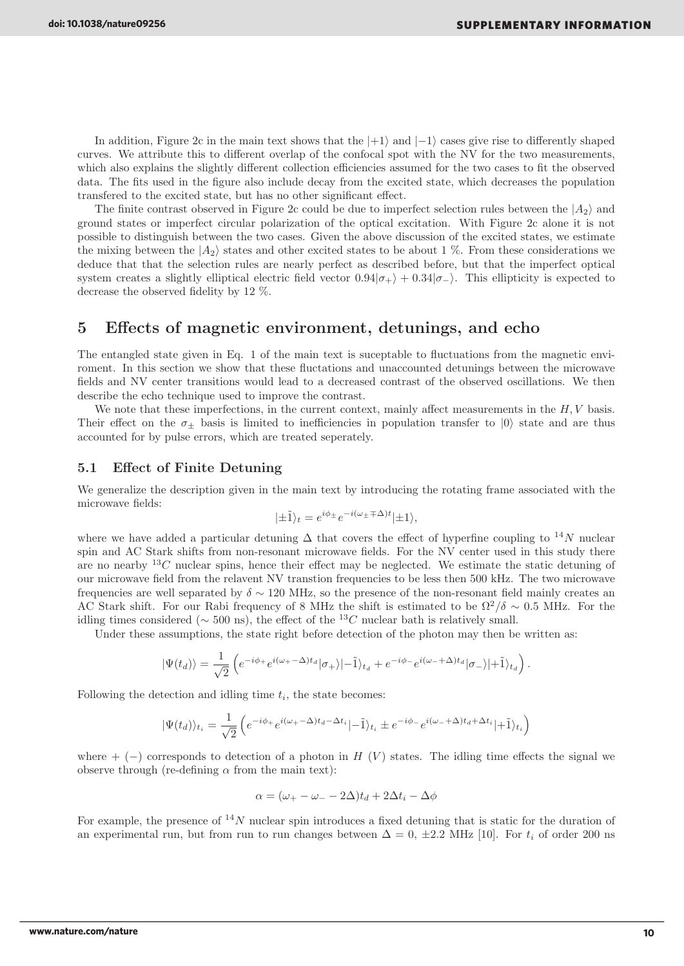In addition, Figure 2c in the main text shows that the  $|+1\rangle$  and  $|-1\rangle$  cases give rise to differently shaped curves. We attribute this to different overlap of the confocal spot with the NV for the two measurements, which also explains the slightly different collection efficiencies assumed for the two cases to fit the observed data. The fits used in the figure also include decay from the excited state, which decreases the population transfered to the excited state, but has no other significant effect.

The finite contrast observed in Figure 2c could be due to imperfect selection rules between the  $|A_2\rangle$  and ground states or imperfect circular polarization of the optical excitation. With Figure 2c alone it is not possible to distinguish between the two cases. Given the above discussion of the excited states, we estimate the mixing between the  $|A_2\rangle$  states and other excited states to be about 1 %. From these considerations we deduce that that the selection rules are nearly perfect as described before, but that the imperfect optical system creates a slightly elliptical electric field vector  $0.94|\sigma_{+}\rangle + 0.34|\sigma_{-}\rangle$ . This ellipticity is expected to decrease the observed fidelity by 12 %.

# 5 Effects of magnetic environment, detunings, and echo

The entangled state given in Eq. 1 of the main text is suceptable to fluctuations from the magnetic enviroment. In this section we show that these fluctations and unaccounted detunings between the microwave fields and NV center transitions would lead to a decreased contrast of the observed oscillations. We then describe the echo technique used to improve the contrast.

We note that these imperfections, in the current context, mainly affect measurements in the  $H, V$  basis. Their effect on the  $\sigma_{+}$  basis is limited to inefficiencies in population transfer to  $|0\rangle$  state and are thus accounted for by pulse errors, which are treated seperately.

### 5.1 Effect of Finite Detuning

We generalize the description given in the main text by introducing the rotating frame associated with the microwave fields:

$$
|\pm \tilde{1}\rangle_t = e^{i\phi_{\pm}} e^{-i(\omega_{\pm} \mp \Delta)t} |\pm 1\rangle,
$$

where we have added a particular detuning  $\Delta$  that covers the effect of hyperfine coupling to <sup>14</sup>N nuclear spin and AC Stark shifts from non-resonant microwave fields. For the NV center used in this study there are no nearby  ${}^{13}C$  nuclear spins, hence their effect may be neglected. We estimate the static detuning of our microwave field from the relavent NV transtion frequencies to be less then 500 kHz. The two microwave frequencies are well separated by  $\delta \sim 120$  MHz, so the presence of the non-resonant field mainly creates an AC Stark shift. For our Rabi frequency of 8 MHz the shift is estimated to be  $\Omega^2/\delta \sim 0.5$  MHz. For the idling times considered ( $\sim$  500 ns), the effect of the <sup>13</sup>C nuclear bath is relatively small.

Under these assumptions, the state right before detection of the photon may then be written as:

$$
|\Psi(t_d)\rangle = \frac{1}{\sqrt{2}} \left( e^{-i\phi_+} e^{i(\omega_+ - \Delta)t_d} |\sigma_+\rangle - \tilde{1}\rangle_{t_d} + e^{-i\phi_-} e^{i(\omega_- + \Delta)t_d} |\sigma_-\rangle + \tilde{1}\rangle_{t_d} \right).
$$

Following the detection and idling time  $t_i$ , the state becomes:

$$
|\Psi(t_d)\rangle_{t_i} = \frac{1}{\sqrt{2}} \left( e^{-i\phi_+} e^{i(\omega_+ - \Delta)t_d - \Delta t_i} - \tilde{1}\rangle_{t_i} \pm e^{-i\phi_-} e^{i(\omega_- + \Delta)t_d + \Delta t_i} + \tilde{1}\rangle_{t_i} \right)
$$

where + (-) corresponds to detection of a photon in H (V) states. The idling time effects the signal we observe through (re-defining  $\alpha$  from the main text):

$$
\alpha = (\omega_{+} - \omega_{-} - 2\Delta)t_d + 2\Delta t_i - \Delta \phi
$$

For example, the presence of  $^{14}N$  nuclear spin introduces a fixed detuning that is static for the duration of an experimental run, but from run to run changes between  $\Delta = 0$ ,  $\pm 2.2$  MHz [10]. For  $t_i$  of order 200 ns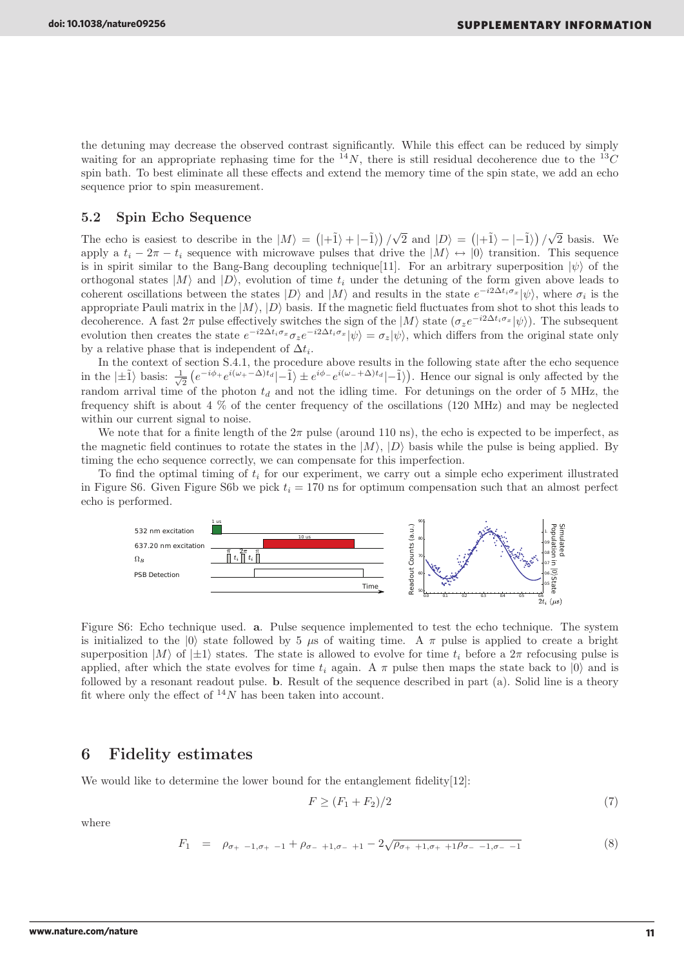the detuning may decrease the observed contrast significantly. While this effect can be reduced by simply waiting for an appropriate rephasing time for the  $^{14}N$ , there is still residual decoherence due to the  $^{13}C$ spin bath. To best eliminate all these effects and extend the memory time of the spin state, we add an echo sequence prior to spin measurement.

### 5.2 Spin Echo Sequence

The echo is easiest to describe in the  $|M\rangle = (|\hat{+1}\rangle + \hat{=}|\hat{-1}\rangle)/\sqrt{2}$  and  $|D\rangle = (|\hat{+1}\rangle - \hat{=}|\hat{-1}\rangle)/\sqrt{2}$  basis. We apply a  $t_i - 2\pi - t_i$  sequence with microwave pulses that drive the  $|M\rangle \leftrightarrow |0\rangle$  transition. This sequence is in spirit similar to the Bang-Bang decoupling technique [11]. For an arbitrary superposition  $|\psi\rangle$  of the orthogonal states  $|M\rangle$  and  $|D\rangle$ , evolution of time  $t_i$  under the detuning of the form given above leads to coherent oscillations between the states  $|D\rangle$  and  $|M\rangle$  and results in the state  $e^{-i2\Delta t_i\sigma_x}|\psi\rangle$ , where  $\sigma_i$  is the appropriate Pauli matrix in the  $|M\rangle$ ,  $|D\rangle$  basis. If the magnetic field fluctuates from shot to shot this leads to decoherence. A fast  $2\pi$  pulse effectively switches the sign of the  $|M\rangle$  state  $(\sigma_{z}e^{-i2\Delta t_{i}\sigma_{x}}|\psi\rangle)$ . The subsequent evolution then creates the state  $e^{-i2\Delta t_i\sigma_x}\sigma_z e^{-i2\Delta t_i\sigma_x}|\psi\rangle = \sigma_z|\psi\rangle$ , which differs from the original state only by a relative phase that is independent of  $\Delta t_i$ .

In the context of section S.4.1, the procedure above results in the following state after the echo sequence in the  $\ket{\pm \tilde{1}}$  basis:  $\frac{1}{\sqrt{}}$  $\frac{1}{2} \left( e^{-i\phi_+} e^{i(\omega_+ - \Delta)t_d} \right) - \tilde{1} \rangle \pm e^{i\phi_-} e^{i(\omega_- + \Delta)t_d} \left| - \tilde{1} \right\rangle$ . Hence our signal is only affected by the random arrival time of the photon  $t_d$  and not the idling time. For detunings on the order of 5 MHz, the frequency shift is about 4 % of the center frequency of the oscillations (120 MHz) and may be neglected within our current signal to noise.

We note that for a finite length of the  $2\pi$  pulse (around 110 ns), the echo is expected to be imperfect, as the magnetic field continues to rotate the states in the  $|M\rangle$ ,  $|D\rangle$  basis while the pulse is being applied. By timing the echo sequence correctly, we can compensate for this imperfection.

To find the optimal timing of  $t_i$  for our experiment, we carry out a simple echo experiment illustrated in Figure S6. Given Figure S6b we pick  $t_i = 170$  ns for optimum compensation such that an almost perfect echo is performed.



Figure S6: Echo technique used. a. Pulse sequence implemented to test the echo technique. The system is initialized to the  $|0\rangle$  state followed by 5  $\mu$ s of waiting time. A  $\pi$  pulse is applied to create a bright superposition  $|M\rangle$  of  $|\pm 1\rangle$  states. The state is allowed to evolve for time  $t_i$  before a  $2\pi$  refocusing pulse is applied, after which the state evolves for time  $t_i$  again. A  $\pi$  pulse then maps the state back to  $|0\rangle$  and is followed by a resonant readout pulse. b. Result of the sequence described in part (a). Solid line is a theory fit where only the effect of  $^{14}N$  has been taken into account.

### 6 Fidelity estimates

We would like to determine the lower bound for the entanglement fidelity[12]:

$$
F \ge (F_1 + F_2)/2 \tag{7}
$$

where

$$
F_1 = \rho_{\sigma_+ - 1, \sigma_+ - 1} + \rho_{\sigma_- + 1, \sigma_- + 1} - 2\sqrt{\rho_{\sigma_+ + 1, \sigma_+ + 1}\rho_{\sigma_- - 1, \sigma_- - 1}} \tag{8}
$$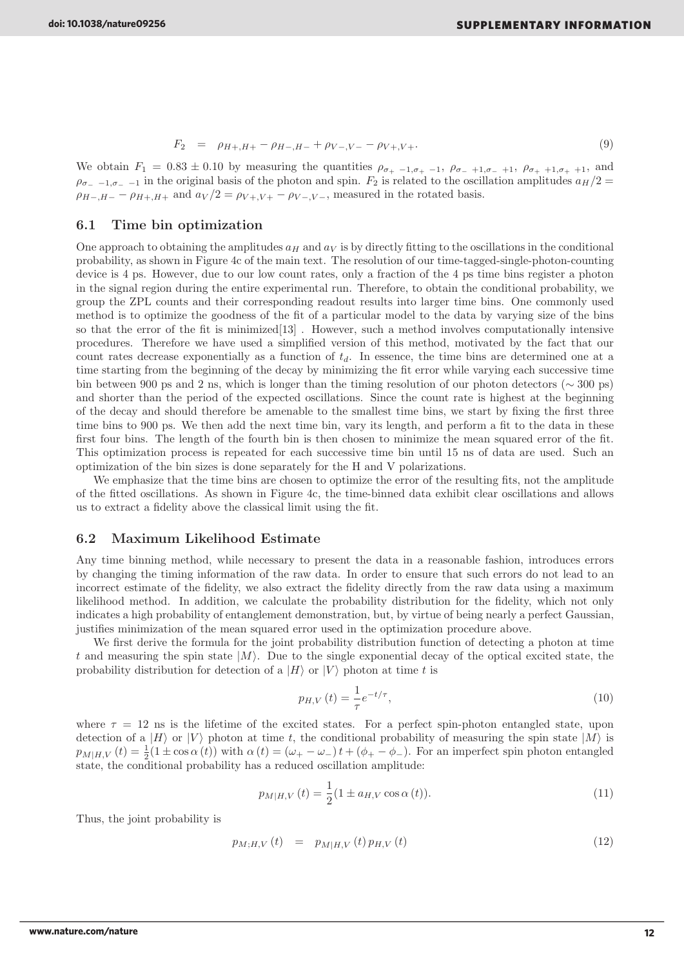$$
F_2 = \rho_{H+,H+} - \rho_{H-,H-} + \rho_{V-,V-} - \rho_{V+,V+}.
$$
\n(9)

We obtain  $F_1 = 0.83 \pm 0.10$  by measuring the quantities  $\rho_{\sigma_+ -1,\sigma_+ -1}$ ,  $\rho_{\sigma_- +1,\sigma_- +1}$ ,  $\rho_{\sigma_+ +1,\sigma_+ +1}$ , and  $\rho_{\sigma_- -1,\sigma_- -1}$  in the original basis of the photon and spin.  $F_2$  is related to the oscillation amplitudes  $a_H/2 =$  $\rho_{H-,H-} - \rho_{H+,H+}$  and  $a_V/2 = \rho_{V+,V+} - \rho_{V-,V-}$ , measured in the rotated basis.

### 6.1 Time bin optimization

One approach to obtaining the amplitudes  $a_H$  and  $a_V$  is by directly fitting to the oscillations in the conditional probability, as shown in Figure 4c of the main text. The resolution of our time-tagged-single-photon-counting device is 4 ps. However, due to our low count rates, only a fraction of the 4 ps time bins register a photon in the signal region during the entire experimental run. Therefore, to obtain the conditional probability, we group the ZPL counts and their corresponding readout results into larger time bins. One commonly used method is to optimize the goodness of the fit of a particular model to the data by varying size of the bins so that the error of the fit is minimized[13] . However, such a method involves computationally intensive procedures. Therefore we have used a simplified version of this method, motivated by the fact that our count rates decrease exponentially as a function of  $t<sub>d</sub>$ . In essence, the time bins are determined one at a time starting from the beginning of the decay by minimizing the fit error while varying each successive time bin between 900 ps and 2 ns, which is longer than the timing resolution of our photon detectors ( $\sim$  300 ps) and shorter than the period of the expected oscillations. Since the count rate is highest at the beginning of the decay and should therefore be amenable to the smallest time bins, we start by fixing the first three time bins to 900 ps. We then add the next time bin, vary its length, and perform a fit to the data in these first four bins. The length of the fourth bin is then chosen to minimize the mean squared error of the fit. This optimization process is repeated for each successive time bin until 15 ns of data are used. Such an optimization of the bin sizes is done separately for the H and V polarizations.

We emphasize that the time bins are chosen to optimize the error of the resulting fits, not the amplitude of the fitted oscillations. As shown in Figure 4c, the time-binned data exhibit clear oscillations and allows us to extract a fidelity above the classical limit using the fit.

### 6.2 Maximum Likelihood Estimate

Any time binning method, while necessary to present the data in a reasonable fashion, introduces errors by changing the timing information of the raw data. In order to ensure that such errors do not lead to an incorrect estimate of the fidelity, we also extract the fidelity directly from the raw data using a maximum likelihood method. In addition, we calculate the probability distribution for the fidelity, which not only indicates a high probability of entanglement demonstration, but, by virtue of being nearly a perfect Gaussian, justifies minimization of the mean squared error used in the optimization procedure above.

We first derive the formula for the joint probability distribution function of detecting a photon at time t and measuring the spin state  $|M\rangle$ . Due to the single exponential decay of the optical excited state, the probability distribution for detection of a  $|H\rangle$  or  $|V\rangle$  photon at time t is

$$
p_{H,V}(t) = \frac{1}{\tau} e^{-t/\tau},
$$
\n(10)

where  $\tau = 12$  ns is the lifetime of the excited states. For a perfect spin-photon entangled state, upon detection of a  $|H\rangle$  or  $|V\rangle$  photon at time t, the conditional probability of measuring the spin state  $|M\rangle$  is  $p_{M|H,V}(t) = \frac{1}{2}(1 \pm \cos \alpha(t))$  with  $\alpha(t) = (\omega_+ - \omega_-)t + (\phi_+ - \phi_-)$ . For an imperfect spin photon entangled state, the conditional probability has a reduced oscillation amplitude:

$$
p_{M|H,V}(t) = \frac{1}{2}(1 \pm a_{H,V}\cos\alpha(t)).
$$
\n(11)

Thus, the joint probability is

$$
p_{M;H,V}(t) = p_{M|H,V}(t) p_{H,V}(t)
$$
\n(12)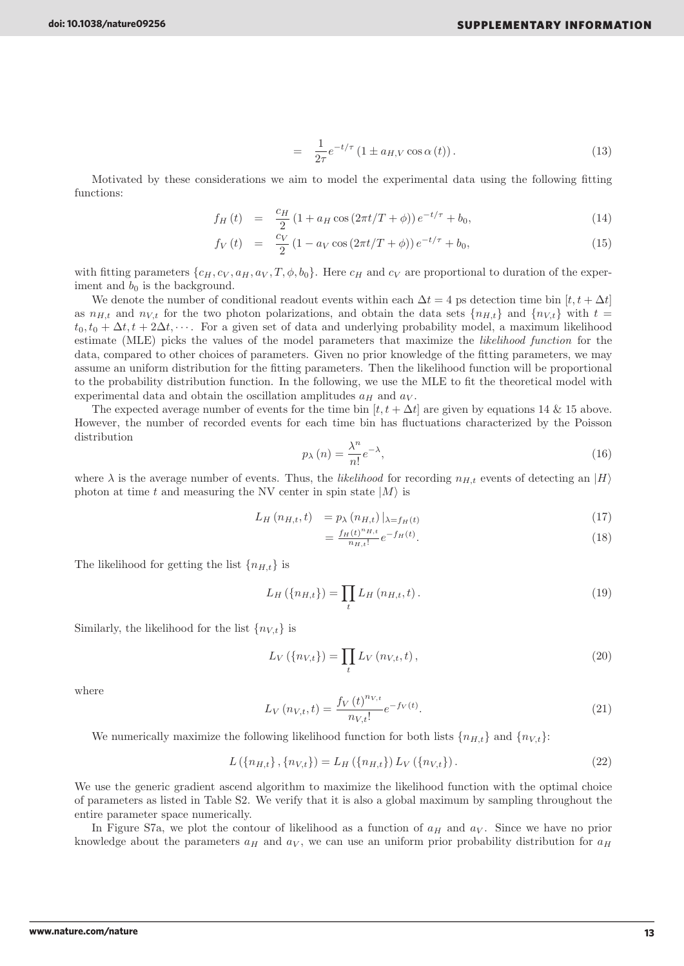$$
= \frac{1}{2\tau}e^{-t/\tau}\left(1 \pm a_{H,V}\cos\alpha\left(t\right)\right). \tag{13}
$$

Motivated by these considerations we aim to model the experimental data using the following fitting functions:

$$
f_H(t) = \frac{c_H}{2} \left( 1 + a_H \cos \left( 2\pi t / T + \phi \right) \right) e^{-t/\tau} + b_0,
$$
\n(14)

$$
f_V(t) = \frac{c_V}{2} (1 - a_V \cos(2\pi t/T + \phi)) e^{-t/\tau} + b_0,
$$
\n(15)

with fitting parameters  $\{c_H, c_V, a_H, a_V, T, \phi, b_0\}$ . Here  $c_H$  and  $c_V$  are proportional to duration of the experiment and  $b_0$  is the background.

We denote the number of conditional readout events within each  $\Delta t = 4$  ps detection time bin  $[t, t + \Delta t]$ as  $n_{H,t}$  and  $n_{V,t}$  for the two photon polarizations, and obtain the data sets  $\{n_{H,t}\}\$  and  $\{n_{V,t}\}\$  with  $t=$  $t_0, t_0 + \Delta t, t + 2\Delta t, \cdots$ . For a given set of data and underlying probability model, a maximum likelihood estimate (MLE) picks the values of the model parameters that maximize the likelihood function for the data, compared to other choices of parameters. Given no prior knowledge of the fitting parameters, we may assume an uniform distribution for the fitting parameters. Then the likelihood function will be proportional to the probability distribution function. In the following, we use the MLE to fit the theoretical model with experimental data and obtain the oscillation amplitudes  $a_H$  and  $a_V$ .

The expected average number of events for the time bin  $[t, t + \Delta t]$  are given by equations 14 & 15 above. However, the number of recorded events for each time bin has fluctuations characterized by the Poisson distribution

$$
p_{\lambda}(n) = \frac{\lambda^n}{n!} e^{-\lambda},\tag{16}
$$

where  $\lambda$  is the average number of events. Thus, the likelihood for recording  $n_{H,t}$  events of detecting an  $|H\rangle$ photon at time t and measuring the NV center in spin state  $|M\rangle$  is

$$
L_H(n_{H,t},t) = p_{\lambda}(n_{H,t})|_{\lambda = f_H(t)}
$$
\n(17)

$$
=\frac{f_H(t)^{n_{H,t}}}{n_{H,t}!}e^{-f_H(t)}.
$$
\n(18)

The likelihood for getting the list  ${n<sub>H,t</sub>}$  is

$$
L_H(\{n_{H,t}\}) = \prod_t L_H(n_{H,t}, t).
$$
\n(19)

Similarly, the likelihood for the list  $\{n_{V,t}\}\$ is

$$
L_V(\{n_{V,t}\}) = \prod_t L_V(n_{V,t}, t), \qquad (20)
$$

where

$$
L_V(n_{V,t},t) = \frac{f_V(t)^{n_{V,t}}}{n_{V,t}!}e^{-f_V(t)}.
$$
\n(21)

We numerically maximize the following likelihood function for both lists  ${n<sub>H,t</sub>}$  and  ${n<sub>V,t</sub>}$ :

$$
L(\{n_{H,t}\}, \{n_{V,t}\}) = L_H(\{n_{H,t}\}) L_V(\{n_{V,t}\}).
$$
\n(22)

We use the generic gradient ascend algorithm to maximize the likelihood function with the optimal choice of parameters as listed in Table S2. We verify that it is also a global maximum by sampling throughout the entire parameter space numerically.

In Figure S7a, we plot the contour of likelihood as a function of  $a_H$  and  $a_V$ . Since we have no prior knowledge about the parameters  $a_H$  and  $a_V$ , we can use an uniform prior probability distribution for  $a_H$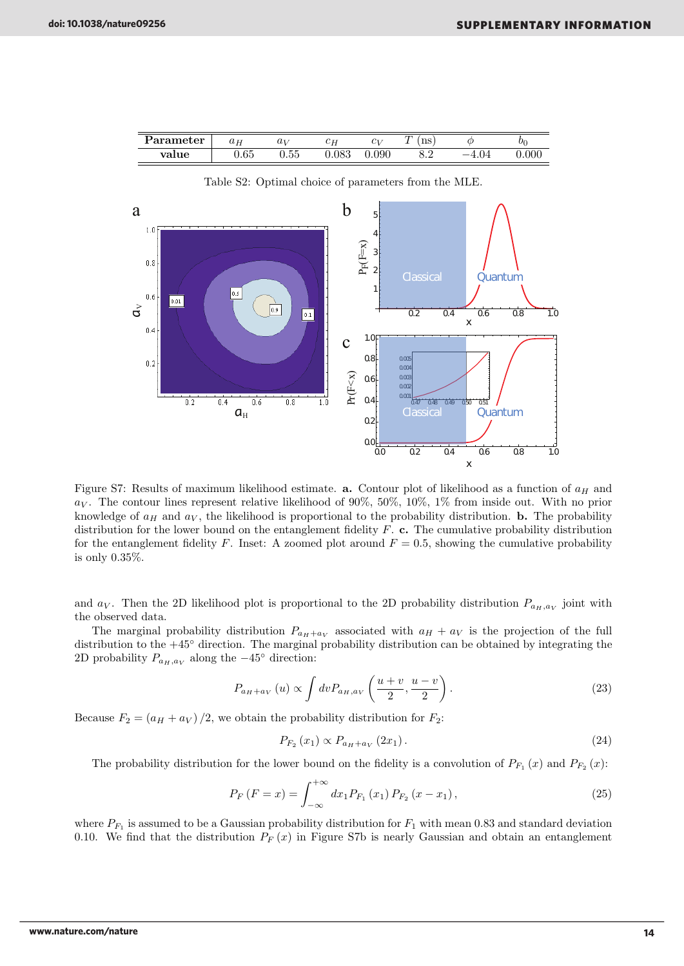| $\bold{arame}$ ter | T<br>$u_H$     | $\boldsymbol{\omega}$ | ັ<br> | .<br>U | ┮<br>$\sim$ $\sim$<br>110     | $U_{\mathfrak{k}}$ |
|--------------------|----------------|-----------------------|-------|--------|-------------------------------|--------------------|
| <b>Trn</b>         | $\sim$<br>'.UU | --                    | ,,    |        | $\mathsf{v} \cdot \mathsf{v}$ |                    |



Table S2: Optimal choice of parameters from the MLE.

Figure S7: Results of maximum likelihood estimate. **a.** Contour plot of likelihood as a function of  $a_H$  and  $a_V$ . The contour lines represent relative likelihood of 90%, 50%, 10%, 1% from inside out. With no prior knowledge of  $a_H$  and  $a_V$ , the likelihood is proportional to the probability distribution. **b.** The probability distribution for the lower bound on the entanglement fidelity  $F$ . c. The cumulative probability distribution for the entanglement fidelity F. Inset: A zoomed plot around  $F = 0.5$ , showing the cumulative probability is only 0.35%.

and  $a_V$ . Then the 2D likelihood plot is proportional to the 2D probability distribution  $P_{a_H,a_V}$  joint with the observed data.

The marginal probability distribution  $P_{a_H+a_V}$  associated with  $a_H + a_V$  is the projection of the full distribution to the +45◦ direction. The marginal probability distribution can be obtained by integrating the 2D probability  $P_{a_H,a_V}$  along the  $-45^{\circ}$  direction:

$$
P_{a_H+a_V}(u) \propto \int dv P_{a_H,a_V}\left(\frac{u+v}{2},\frac{u-v}{2}\right). \tag{23}
$$

Because  $F_2 = (a_H + a_V)/2$ , we obtain the probability distribution for  $F_2$ .

$$
P_{F_2}(x_1) \propto P_{a_H + a_V}(2x_1). \tag{24}
$$

The probability distribution for the lower bound on the fidelity is a convolution of  $P_{F_1}(x)$  and  $P_{F_2}(x)$ :

$$
P_F(F = x) = \int_{-\infty}^{+\infty} dx_1 P_{F_1}(x_1) P_{F_2}(x - x_1), \qquad (25)
$$

where  $P_{F_1}$  is assumed to be a Gaussian probability distribution for  $F_1$  with mean 0.83 and standard deviation 0.10. We find that the distribution  $P_F(x)$  in Figure S7b is nearly Gaussian and obtain an entanglement